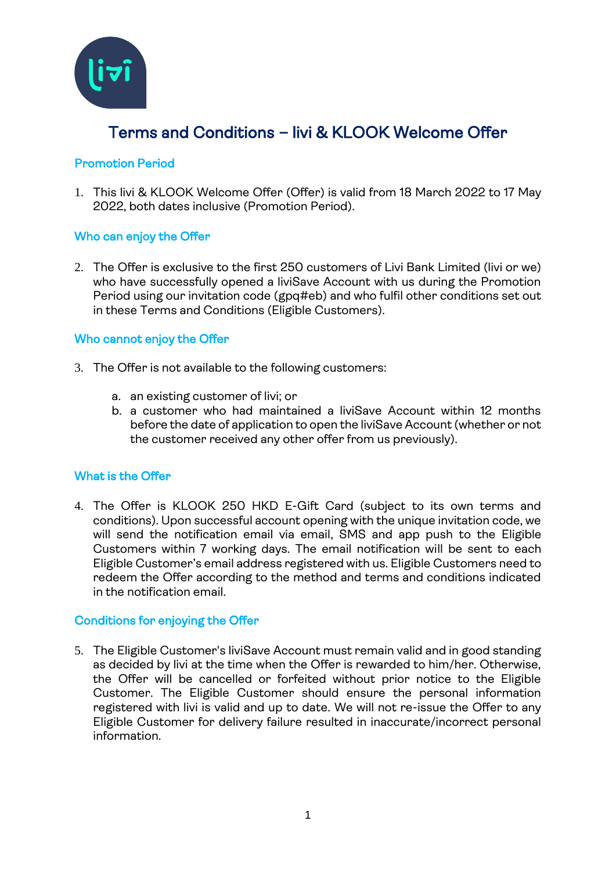

# Terms and Conditions – livi & KLOOK Welcome Offer

## Promotion Period

1. This livi & KLOOK Welcome Offer (Offer) is valid from 18 March 2022 to 17 May 2022, both dates inclusive (Promotion Period).

### Who can enjoy the Offer

2. The Offer is exclusive to the first 250 customers of Livi Bank Limited (livi or we) who have successfully opened a liviSave Account with us during the Promotion Period using our invitation code (gpq#eb) and who fulfil other conditions set out in these Terms and Conditions (Eligible Customers).

## Who cannot enjoy the Offer

- 3. The Offer is not available to the following customers:
	- a. an existing customer of livi; or
	- b. a customer who had maintained a liviSave Account within 12 months before the date of application to open the liviSave Account (whether or not the customer received any other offer from us previously).

### What is the Offer

4. The Offer is KLOOK 250 HKD E-Gift Card (subject to its own terms and conditions). Upon successful account opening with the unique invitation code, we will send the notification email via email, SMS and app push to the Eligible Customers within 7 working days. The email notification will be sent to each Eligible Customer's email address registered with us. Eligible Customers need to redeem the Offer according to the method and terms and conditions indicated in the notification email.

### Conditions for enjoying the Offer

5. The Eligible Customer's liviSave Account must remain valid and in good standing as decided by livi at the time when the Offer is rewarded to him/her. Otherwise, the Offer will be cancelled or forfeited without prior notice to the Eligible Customer. The Eligible Customer should ensure the personal information registered with livi is valid and up to date. We will not re-issue the Offer to any Eligible Customer for delivery failure resulted in inaccurate/incorrect personal information.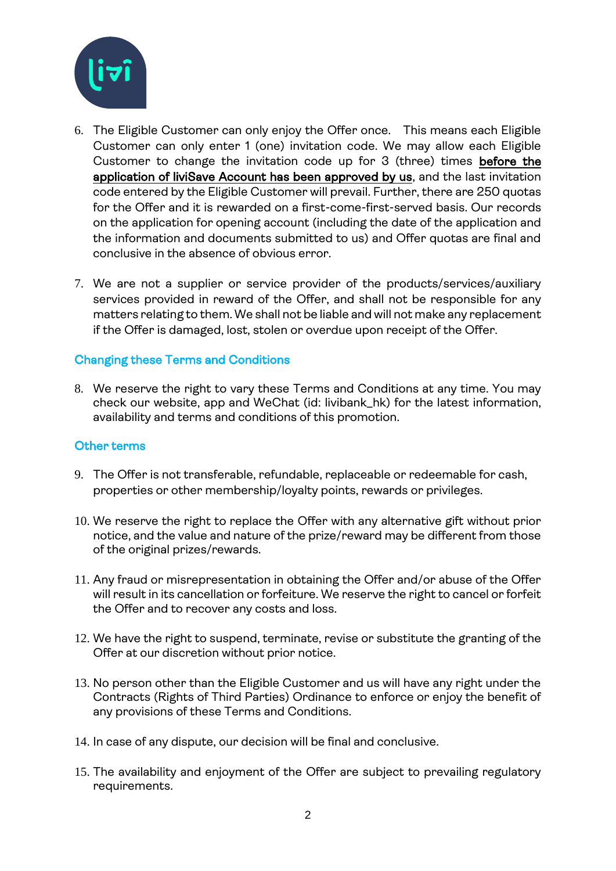

- 6. The Eligible Customer can only enjoy the Offer once. This means each Eligible Customer can only enter 1 (one) invitation code. We may allow each Eligible Customer to change the invitation code up for 3 (three) times before the application of liviSave Account has been approved by us, and the last invitation code entered by the Eligible Customer will prevail. Further, there are 250 quotas for the Offer and it is rewarded on a first-come-first-served basis. Our records on the application for opening account (including the date of the application and the information and documents submitted to us) and Offer quotas are final and conclusive in the absence of obvious error.
- 7. We are not a supplier or service provider of the products/services/auxiliary services provided in reward of the Offer, and shall not be responsible for any matters relating to them. We shall not be liable and will not make any replacement if the Offer is damaged, lost, stolen or overdue upon receipt of the Offer.

## Changing these Terms and Conditions

8. We reserve the right to vary these Terms and Conditions at any time. You may check our website, app and WeChat (id: livibank\_hk) for the latest information, availability and terms and conditions of this promotion.

### Other terms

- 9. The Offer is not transferable, refundable, replaceable or redeemable for cash, properties or other membership/loyalty points, rewards or privileges.
- 10. We reserve the right to replace the Offer with any alternative gift without prior notice, and the value and nature of the prize/reward may be different from those of the original prizes/rewards.
- 11. Any fraud or misrepresentation in obtaining the Offer and/or abuse of the Offer will result in its cancellation or forfeiture. We reserve the right to cancel or forfeit the Offer and to recover any costs and loss.
- 12. We have the right to suspend, terminate, revise or substitute the granting of the Offer at our discretion without prior notice.
- 13. No person other than the Eligible Customer and us will have any right under the Contracts (Rights of Third Parties) Ordinance to enforce or enjoy the benefit of any provisions of these Terms and Conditions.
- 14. In case of any dispute, our decision will be final and conclusive.
- 15. The availability and enjoyment of the Offer are subject to prevailing regulatory requirements.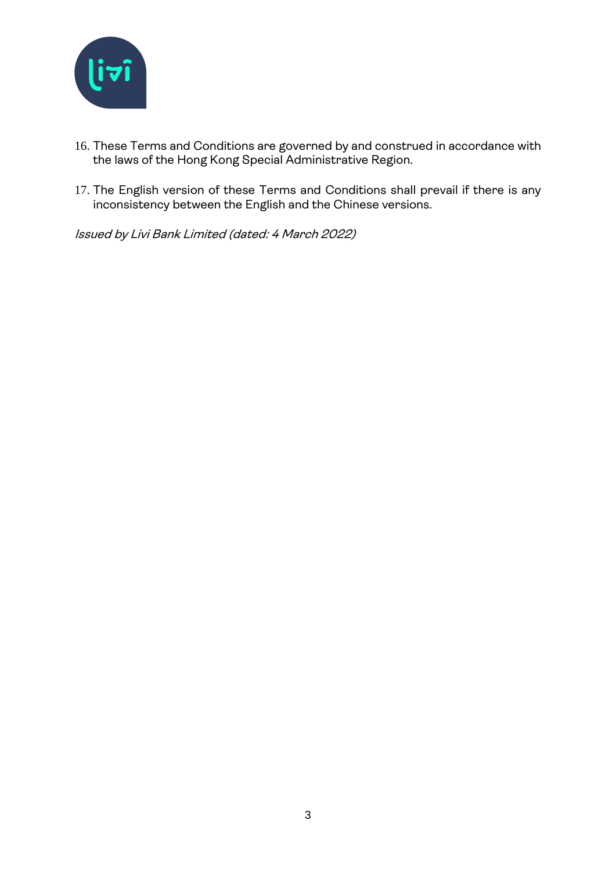

- 16. These Terms and Conditions are governed by and construed in accordance with the laws of the Hong Kong Special Administrative Region.
- 17. The English version of these Terms and Conditions shall prevail if there is any inconsistency between the English and the Chinese versions.

Issued by Livi Bank Limited (dated: 4 March 2022)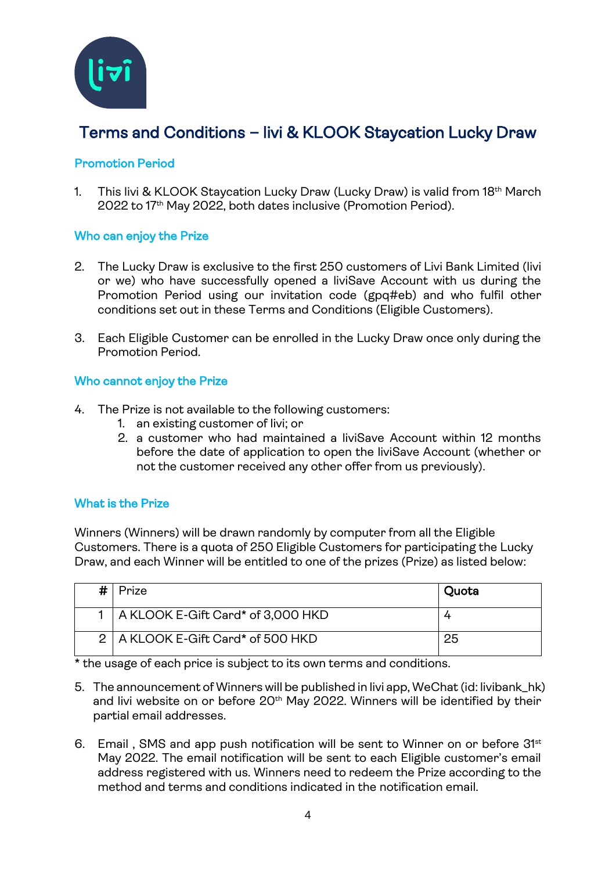

# Terms and Conditions – livi & KLOOK Staycation Lucky Draw

## Promotion Period

1. This livi & KLOOK Staycation Lucky Draw (Lucky Draw) is valid from 18th March 2022 to 17 th May 2022, both dates inclusive (Promotion Period).

## Who can enjoy the Prize

- 2. The Lucky Draw is exclusive to the first 250 customers of Livi Bank Limited (livi or we) who have successfully opened a liviSave Account with us during the Promotion Period using our invitation code (gpq#eb) and who fulfil other conditions set out in these Terms and Conditions (Eligible Customers).
- 3. Each Eligible Customer can be enrolled in the Lucky Draw once only during the Promotion Period.

### Who cannot enjoy the Prize

- 4. The Prize is not available to the following customers:
	- 1. an existing customer of livi; or
	- 2. a customer who had maintained a liviSave Account within 12 months before the date of application to open the liviSave Account (whether or not the customer received any other offer from us previously).

## What is the Prize

Winners (Winners) will be drawn randomly by computer from all the Eligible Customers. There is a quota of 250 Eligible Customers for participating the Lucky Draw, and each Winner will be entitled to one of the prizes (Prize) as listed below:

| # | Prize                                 | Quota |
|---|---------------------------------------|-------|
|   | 1   A KLOOK E-Gift Card* of 3,000 HKD |       |
|   | 2   A KLOOK E-Gift Card* of 500 HKD   | 25    |

\* the usage of each price is subject to its own terms and conditions.

- 5. The announcement of Winners will be published in livi app, WeChat (id: livibank\_hk) and livi website on or before 20<sup>th</sup> May 2022. Winners will be identified by their partial email addresses.
- 6. Email, SMS and app push notification will be sent to Winner on or before 31st May 2022. The email notification will be sent to each Eligible customer's email address registered with us. Winners need to redeem the Prize according to the method and terms and conditions indicated in the notification email.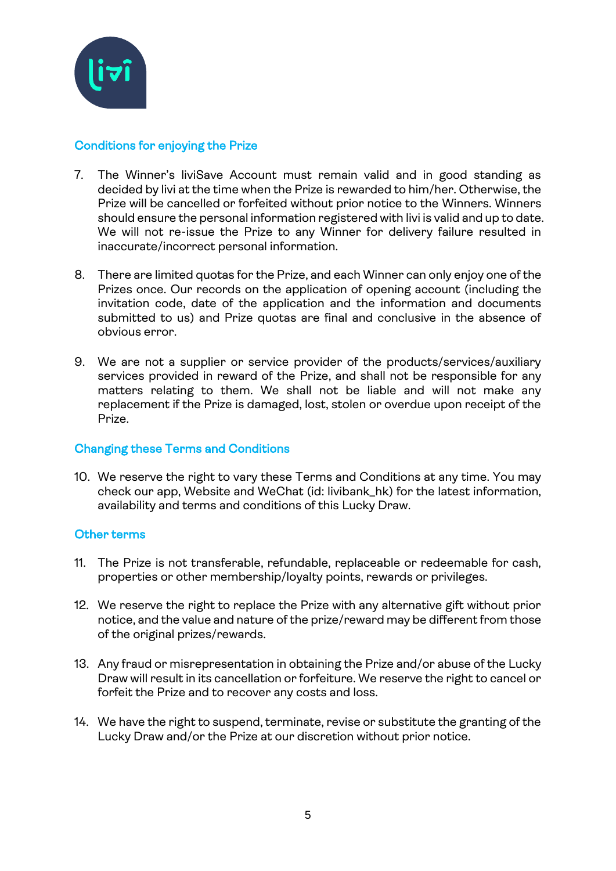

## Conditions for enjoying the Prize

- 7. The Winner's liviSave Account must remain valid and in good standing as decided by livi at the time when the Prize is rewarded to him/her. Otherwise, the Prize will be cancelled or forfeited without prior notice to the Winners. Winners should ensure the personal information registered with livi is valid and up to date. We will not re-issue the Prize to any Winner for delivery failure resulted in inaccurate/incorrect personal information.
- 8. There are limited quotas for the Prize, and each Winner can only enjoy one of the Prizes once. Our records on the application of opening account (including the invitation code, date of the application and the information and documents submitted to us) and Prize quotas are final and conclusive in the absence of obvious error.
- 9. We are not a supplier or service provider of the products/services/auxiliary services provided in reward of the Prize, and shall not be responsible for any matters relating to them. We shall not be liable and will not make any replacement if the Prize is damaged, lost, stolen or overdue upon receipt of the Prize.

### Changing these Terms and Conditions

10. We reserve the right to vary these Terms and Conditions at any time. You may check our app, Website and WeChat (id: livibank\_hk) for the latest information, availability and terms and conditions of this Lucky Draw.

### Other terms

- 11. The Prize is not transferable, refundable, replaceable or redeemable for cash, properties or other membership/loyalty points, rewards or privileges.
- 12. We reserve the right to replace the Prize with any alternative gift without prior notice, and the value and nature of the prize/reward may be different from those of the original prizes/rewards.
- 13. Any fraud or misrepresentation in obtaining the Prize and/or abuse of the Lucky Draw will result in its cancellation or forfeiture. We reserve the right to cancel or forfeit the Prize and to recover any costs and loss.
- 14. We have the right to suspend, terminate, revise or substitute the granting of the Lucky Draw and/or the Prize at our discretion without prior notice.